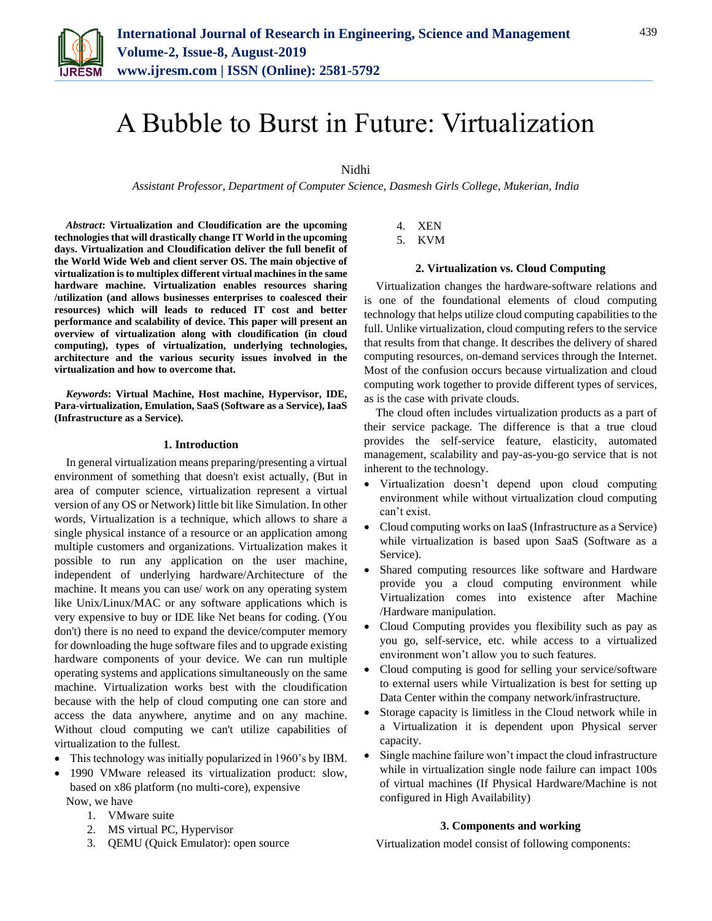

# A Bubble to Burst in Future: Virtualization

# Nidhi

*Assistant Professor, Department of Computer Science, Dasmesh Girls College, Mukerian, India*

*Abstract***: Virtualization and Cloudification are the upcoming technologies that will drastically change IT World in the upcoming days. Virtualization and Cloudification deliver the full benefit of the World Wide Web and client server OS. The main objective of virtualization is to multiplex different virtual machines in the same hardware machine. Virtualization enables resources sharing /utilization (and allows businesses enterprises to coalesced their resources) which will leads to reduced IT cost and better performance and scalability of device. This paper will present an overview of virtualization along with cloudification (in cloud computing), types of virtualization, underlying technologies, architecture and the various security issues involved in the virtualization and how to overcome that.**

*Keywords***: Virtual Machine, Host machine, Hypervisor, IDE, Para-virtualization, Emulation, SaaS (Software as a Service), IaaS (Infrastructure as a Service).**

#### **1. Introduction**

In general virtualization means preparing/presenting a virtual environment of something that doesn't exist actually, (But in area of computer science, virtualization represent a virtual version of any OS or Network) little bit like Simulation. In other words, Virtualization is a technique, which allows to share a single physical instance of a resource or an application among multiple customers and organizations. Virtualization makes it possible to run any application on the user machine, independent of underlying hardware/Architecture of the machine. It means you can use/ work on any operating system like Unix/Linux/MAC or any software applications which is very expensive to buy or IDE like Net beans for coding. (You don't) there is no need to expand the device/computer memory for downloading the huge software files and to upgrade existing hardware components of your device. We can run multiple operating systems and applications simultaneously on the same machine. Virtualization works best with the cloudification because with the help of cloud computing one can store and access the data anywhere, anytime and on any machine. Without cloud computing we can't utilize capabilities of virtualization to the fullest.

- This technology was initially popularized in 1960's by IBM.
- 1990 VMware released its virtualization product: slow, based on x86 platform (no multi-core), expensive Now, we have
	- 1. VMware suite
	- 2. MS virtual PC, Hypervisor
	- 3. QEMU (Quick Emulator): open source
- 4. XEN
- 5. KVM

#### **2. Virtualization vs. Cloud Computing**

Virtualization changes the hardware-software relations and is one of the foundational elements of cloud computing technology that helps utilize cloud computing capabilities to the full. Unlike virtualization, cloud computing refers to the service that results from that change. It describes the delivery of shared computing resources, on-demand services through the Internet. Most of the confusion occurs because virtualization and cloud computing work together to provide different types of services, as is the case with private clouds.

The cloud often includes virtualization products as a part of their service package. The difference is that a true cloud provides the self-service feature, elasticity, automated management, scalability and pay-as-you-go service that is not inherent to the technology.

- Virtualization doesn't depend upon cloud computing environment while without virtualization cloud computing can't exist.
- Cloud computing works on IaaS (Infrastructure as a Service) while virtualization is based upon SaaS (Software as a Service).
- Shared computing resources like software and Hardware provide you a cloud computing environment while Virtualization comes into existence after Machine /Hardware manipulation.
- Cloud Computing provides you flexibility such as pay as you go, self-service, etc. while access to a virtualized environment won't allow you to such features.
- Cloud computing is good for selling your service/software to external users while Virtualization is best for setting up Data Center within the company network/infrastructure.
- Storage capacity is limitless in the Cloud network while in a Virtualization it is dependent upon Physical server capacity.
- Single machine failure won't impact the cloud infrastructure while in virtualization single node failure can impact 100s of virtual machines (If Physical Hardware/Machine is not configured in High Availability)

## **3. Components and working**

Virtualization model consist of following components: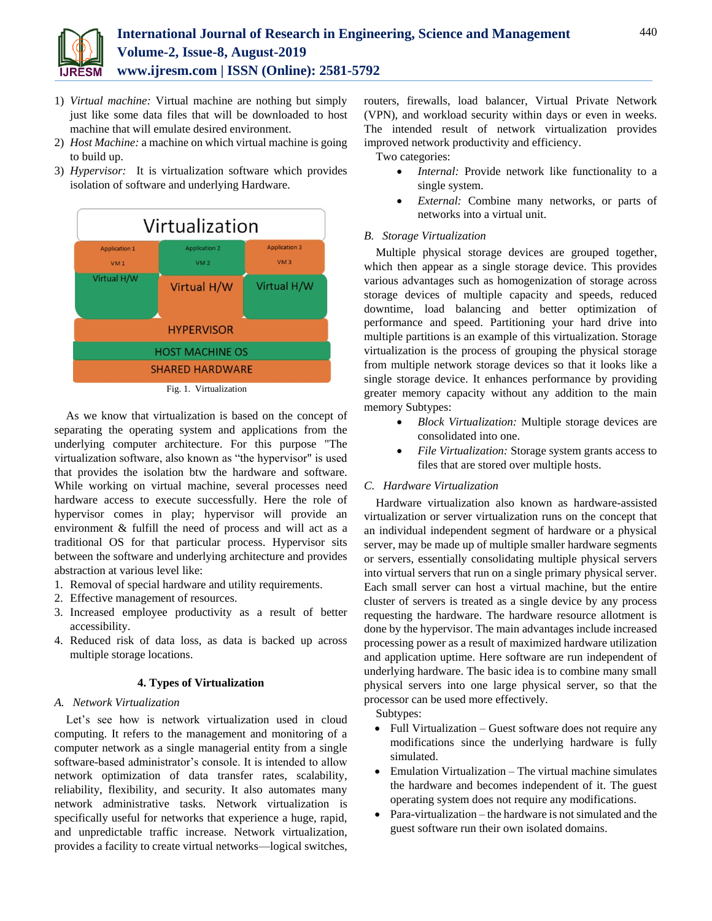

- 1) *Virtual machine:* Virtual machine are nothing but simply just like some data files that will be downloaded to host machine that will emulate desired environment.
- 2) *Host Machine:* a machine on which virtual machine is going to build up.
- 3) *Hypervisor:* It is virtualization software which provides isolation of software and underlying Hardware.



Fig. 1. Virtualization

As we know that virtualization is based on the concept of separating the operating system and applications from the underlying computer architecture. For this purpose "The virtualization software, also known as "the hypervisor" is used that provides the isolation btw the hardware and software. While working on virtual machine, several processes need hardware access to execute successfully. Here the role of hypervisor comes in play; hypervisor will provide an environment & fulfill the need of process and will act as a traditional OS for that particular process. Hypervisor sits between the software and underlying architecture and provides abstraction at various level like:

- 1. Removal of special hardware and utility requirements.
- 2. Effective management of resources.
- 3. Increased employee productivity as a result of better accessibility.
- 4. Reduced risk of data loss, as data is backed up across multiple storage locations.

#### **4. Types of Virtualization**

#### *A. Network Virtualization*

Let's see how is network virtualization used in cloud computing. It refers to the management and monitoring of a computer network as a single managerial entity from a single software-based administrator's console. It is intended to allow network optimization of data transfer rates, scalability, reliability, flexibility, and security. It also automates many network administrative tasks. Network virtualization is specifically useful for networks that experience a huge, rapid, and unpredictable traffic increase. Network virtualization, provides a facility to create virtual networks—logical switches, routers, firewalls, load balancer, Virtual Private Network (VPN), and workload security within days or even in weeks. The intended result of network virtualization provides improved network productivity and efficiency.

Two categories:

- *Internal:* Provide network like functionality to a single system.
- *External:* Combine many networks, or parts of networks into a virtual unit.

#### *B. Storage Virtualization*

Multiple physical storage devices are grouped together, which then appear as a single storage device. This provides various advantages such as homogenization of storage across storage devices of multiple capacity and speeds, reduced downtime, load balancing and better optimization of performance and speed. Partitioning your hard drive into multiple partitions is an example of this virtualization. Storage virtualization is the process of grouping the physical storage from multiple network storage devices so that it looks like a single storage device. It enhances performance by providing greater memory capacity without any addition to the main memory Subtypes:

- *Block Virtualization:* Multiple storage devices are consolidated into one.
- *File Virtualization:* Storage system grants access to files that are stored over multiple hosts.

#### *C. Hardware Virtualization*

Hardware virtualization also known as hardware-assisted virtualization or server virtualization runs on the concept that an individual independent segment of hardware or a physical server, may be made up of multiple smaller hardware segments or servers, essentially consolidating multiple physical servers into virtual servers that run on a single primary physical server. Each small server can host a virtual machine, but the entire cluster of servers is treated as a single device by any process requesting the hardware. The hardware resource allotment is done by the hypervisor. The main advantages include increased processing power as a result of maximized hardware utilization and application uptime. Here software are run independent of underlying hardware. The basic idea is to combine many small physical servers into one large physical server, so that the processor can be used more effectively.

Subtypes:

- Full Virtualization Guest software does not require any modifications since the underlying hardware is fully simulated.
- Emulation Virtualization The virtual machine simulates the hardware and becomes independent of it. The guest operating system does not require any modifications.
- Para-virtualization the hardware is not simulated and the guest software run their own isolated domains.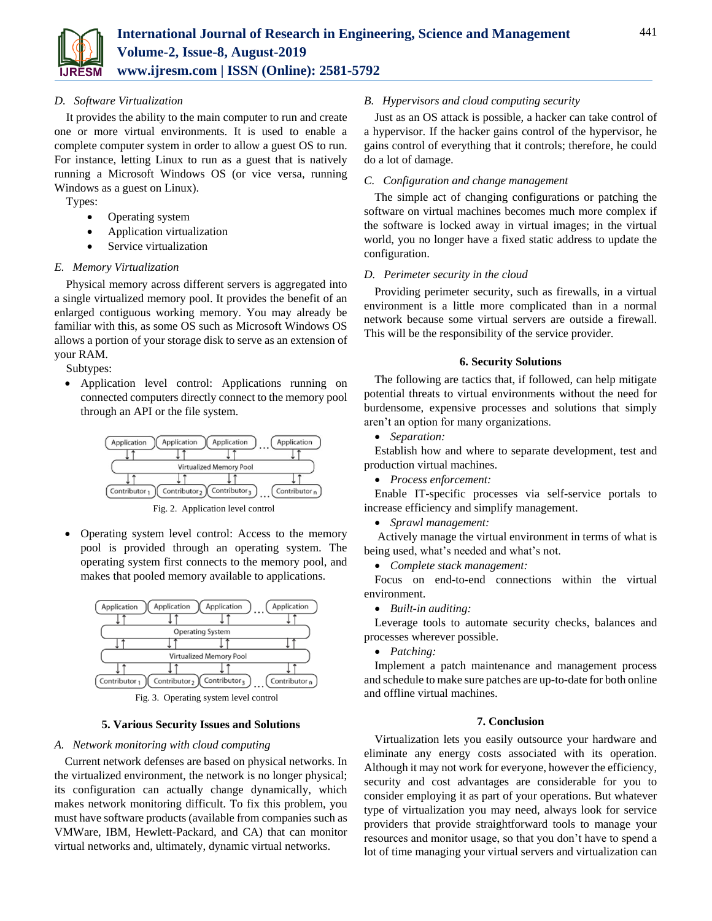

## *D. Software Virtualization*

It provides the ability to the main computer to run and create one or more virtual environments. It is used to enable a complete computer system in order to allow a guest OS to run. For instance, letting Linux to run as a guest that is natively running a Microsoft Windows OS (or vice versa, running Windows as a guest on Linux).

Types:

- Operating system
- Application virtualization
- Service virtualization

# *E. Memory Virtualization*

Physical memory across different servers is aggregated into a single virtualized memory pool. It provides the benefit of an enlarged contiguous working memory. You may already be familiar with this, as some OS such as Microsoft Windows OS allows a portion of your storage disk to serve as an extension of your RAM.

Subtypes:

 Application level control: Applications running on connected computers directly connect to the memory pool through an API or the file system.

| Application              | Application              | Application              | Application              |
|--------------------------|--------------------------|--------------------------|--------------------------|
|                          |                          |                          |                          |
| Virtualized Memory Pool  |                          |                          |                          |
|                          |                          |                          |                          |
| Contributor <sub>1</sub> | Contributor <sub>2</sub> | Contributor <sub>3</sub> | Contributor <sub>n</sub> |

Fig. 2. Application level control

 Operating system level control: Access to the memory pool is provided through an operating system. The operating system first connects to the memory pool, and makes that pooled memory available to applications.



Fig. 3. Operating system level control

# **5. Various Security Issues and Solutions**

## *A. Network monitoring with cloud computing*

Current network defenses are based on physical networks. In the virtualized environment, the network is no longer physical; its configuration can actually change dynamically, which makes network monitoring difficult. To fix this problem, you must have software products (available from companies such as VMWare, IBM, Hewlett-Packard, and CA) that can monitor virtual networks and, ultimately, dynamic virtual networks.

# *B. Hypervisors and cloud computing security*

Just as an OS attack is possible, a hacker can take control of a hypervisor. If the hacker gains control of the hypervisor, he gains control of everything that it controls; therefore, he could do a lot of damage.

# *C. Configuration and change management*

The simple act of changing configurations or patching the software on virtual machines becomes much more complex if the software is locked away in virtual images; in the virtual world, you no longer have a fixed static address to update the configuration.

## *D. Perimeter security in the cloud*

Providing perimeter security, such as firewalls, in a virtual environment is a little more complicated than in a normal network because some virtual servers are outside a firewall. This will be the responsibility of the service provider.

# **6. Security Solutions**

The following are tactics that, if followed, can help mitigate potential threats to virtual environments without the need for burdensome, expensive processes and solutions that simply aren't an option for many organizations.

*Separation:* 

Establish how and where to separate development, test and production virtual machines.

*Process enforcement:*

Enable IT-specific processes via self-service portals to increase efficiency and simplify management.

*Sprawl management:*

Actively manage the virtual environment in terms of what is being used, what's needed and what's not.

*Complete stack management:* 

Focus on end-to-end connections within the virtual environment.

*Built-in auditing:*

Leverage tools to automate security checks, balances and processes wherever possible.

*Patching:*

Implement a patch maintenance and management process and schedule to make sure patches are up-to-date for both online and offline virtual machines.

# **7. Conclusion**

Virtualization lets you easily outsource your hardware and eliminate any energy costs associated with its operation. Although it may not work for everyone, however the efficiency, security and cost advantages are considerable for you to consider employing it as part of your operations. But whatever type of virtualization you may need, always look for service providers that provide straightforward tools to manage your resources and monitor usage, so that you don't have to spend a lot of time managing your virtual servers and virtualization can